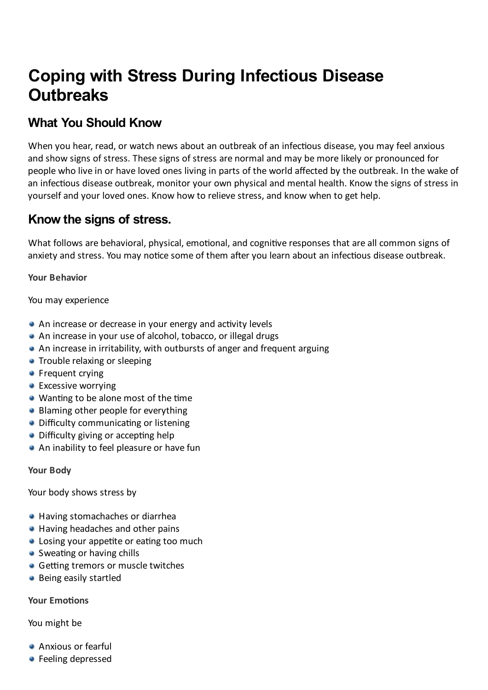# **Coping with Stress During Infectious Disease Outbreaks**

# **What You Should Know**

When you hear, read, or watch news about an outbreak of an infectious disease, you may feel anxious and show signs of stress. These signs of stress are normal and may be more likely or pronounced for people who live in or have loved ones living in parts of the world affected by the outbreak. In the wake of an infectious disease outbreak, monitor your own physical and mental health. Know the signs of stress in yourself and your loved ones. Know how to relieve stress, and know when to get help.

# **Know the signs of stress.**

What follows are behavioral, physical, emotional, and cognitive responses that are all common signs of anxiety and stress. You may notice some of them after you learn about an infectious disease outbreak.

**Your Behavior**

You may experience

- $\bullet$  An increase or decrease in your energy and activity levels
- An increase in your use of alcohol, tobacco, or illegal drugs
- An increase in irritability, with outbursts of anger and frequent arguing
- **Trouble relaxing or sleeping**
- **•** Frequent crying
- **Excessive worrying**
- $\bullet$  Wanting to be alone most of the time
- Blaming other people for everything
- $\bullet$  Difficulty communicating or listening
- $\bullet$  Difficulty giving or accepting help
- An inability to feel pleasure or have fun

**Your Body**

Your body shows stress by

- Having stomachaches or diarrhea
- Having headaches and other pains
- $\bullet$  Losing your appetite or eating too much
- $\bullet$  Sweating or having chills
- $\bullet$  Getting tremors or muscle twitches
- **Being easily startled**

**Your Emotions** 

You might be

- Anxious or fearful
- **•** Feeling depressed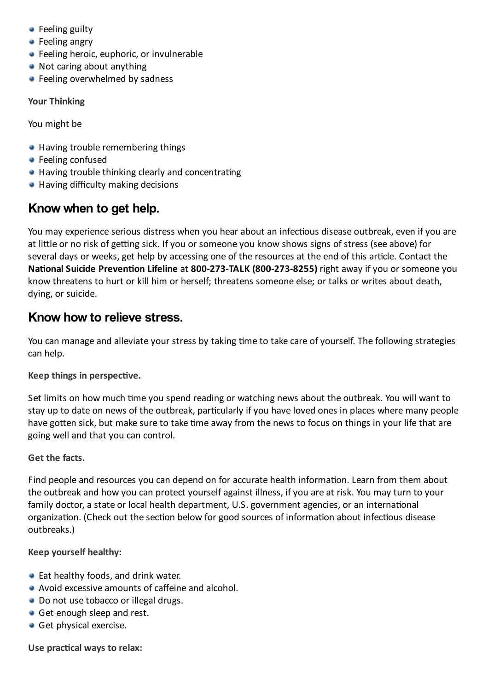- Feeling guilty
- **•** Feeling angry
- **•** Feeling heroic, euphoric, or invulnerable
- Not caring about anything
- **•** Feeling overwhelmed by sadness

**Your Thinking**

You might be

- $\bullet$  Having trouble remembering things
- **•** Feeling confused
- $\bullet$  Having trouble thinking clearly and concentrating
- Having difficulty making decisions

# **Know when to get help.**

You may experience serious distress when you hear about an infectious disease outbreak, even if you are at little or no risk of getting sick. If you or someone you know shows signs of stress (see above) for several days or weeks, get help by accessing one of the resources at the end of this article. Contact the **National Suicide Prevention Lifeline** at 800-273-TALK (800-273-8255) right away if you or someone you know threatens to hurt or kill him or herself; threatens someone else; or talks or writes about death, dying, or suicide.

### **Know how to relieve stress.**

You can manage and alleviate your stress by taking time to take care of yourself. The following strategies can help.

#### **Keep things in perspective.**

Set limits on how much time you spend reading or watching news about the outbreak. You will want to stay up to date on news of the outbreak, particularly if you have loved ones in places where many people have gotten sick, but make sure to take time away from the news to focus on things in your life that are going well and that you can control.

#### **Get the facts.**

Find people and resources you can depend on for accurate health information. Learn from them about the outbreak and how you can protect yourself against illness, if you are at risk. You may turn to your family doctor, a state or local health department, U.S. government agencies, or an international organization. (Check out the section below for good sources of information about infectious disease outbreaks.)

#### **Keep yourself healthy:**

- $\bullet$  Eat healthy foods, and drink water.
- Avoid excessive amounts of caffeine and alcohol.
- Do not use tobacco or illegal drugs.
- Get enough sleep and rest.
- Get physical exercise.

**Use praccal ways to relax:**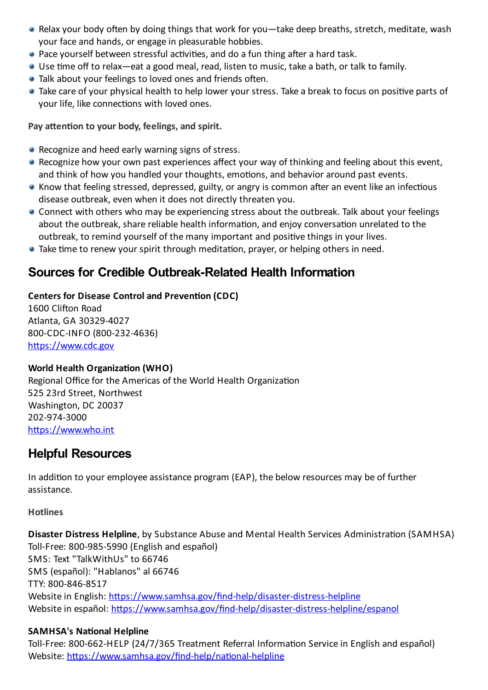- Relax your body often by doing things that work for you—take deep breaths, stretch, meditate, wash your face and hands, or engage in pleasurable hobbies.
- $\bullet$  Pace yourself between stressful activities, and do a fun thing after a hard task.
- Use time off to relax—eat a good meal, read, listen to music, take a bath, or talk to family.
- Talk about your feelings to loved ones and friends often.
- Take care of your physical health to help lower your stress. Take a break to focus on positive parts of your life, like connections with loved ones.

**Pay** attention to your body, feelings, and spirit.

- **Recognize and heed early warning signs of stress.**
- Recognize how your own past experiences affect your way of thinking and feeling about this event, and think of how you handled your thoughts, emotions, and behavior around past events.
- Know that feeling stressed, depressed, guilty, or angry is common after an event like an infectious disease outbreak, even when it does not directly threaten you.
- $\bullet$  Connect with others who may be experiencing stress about the outbreak. Talk about your feelings about the outbreak, share reliable health information, and enjoy conversation unrelated to the outbreak, to remind yourself of the many important and positive things in your lives.
- $\bullet$  Take time to renew your spirit through meditation, prayer, or helping others in need.

# **Sources for Credible Outbreak-Related Health Information**

#### **Centers for Disease Control and Prevention (CDC)**

1600 Clifton Road Atlanta, GA 30329-4027 800-CDC-INFO (800-232-4636) https://www.cdc.gov

#### **World Health Organization (WHO)**

Regional Office for the Americas of the World Health Organization 525 23rd Street, Northwest Washington, DC 20037 202-974-3000 https://www.who.int

# **Helpful Resources**

In addition to your employee assistance program (EAP), the below resources may be of further assistance.

#### **Hotlines**

**Disaster Distress Helpline**, by Substance Abuse and Mental Health Services Administration (SAMHSA) Toll-Free: 800-985-5990 (English and español) SMS: Text "TalkWithUs" to 66746 SMS (español): "Hablanos" al 66746 TTY: 800-846-8517 Website in English: https://www.samhsa.gov/find-help/disaster-distress-helpline Website in español: https://www.samhsa.gov/find-help/disaster-distress-helpline/espanol

#### **SAMHSA's National Helpline**

Toll-Free: 800-662-HELP (24/7/365 Treatment Referral Information Service in English and español) Website: https://www.samhsa.gov/find-help/national-helpline